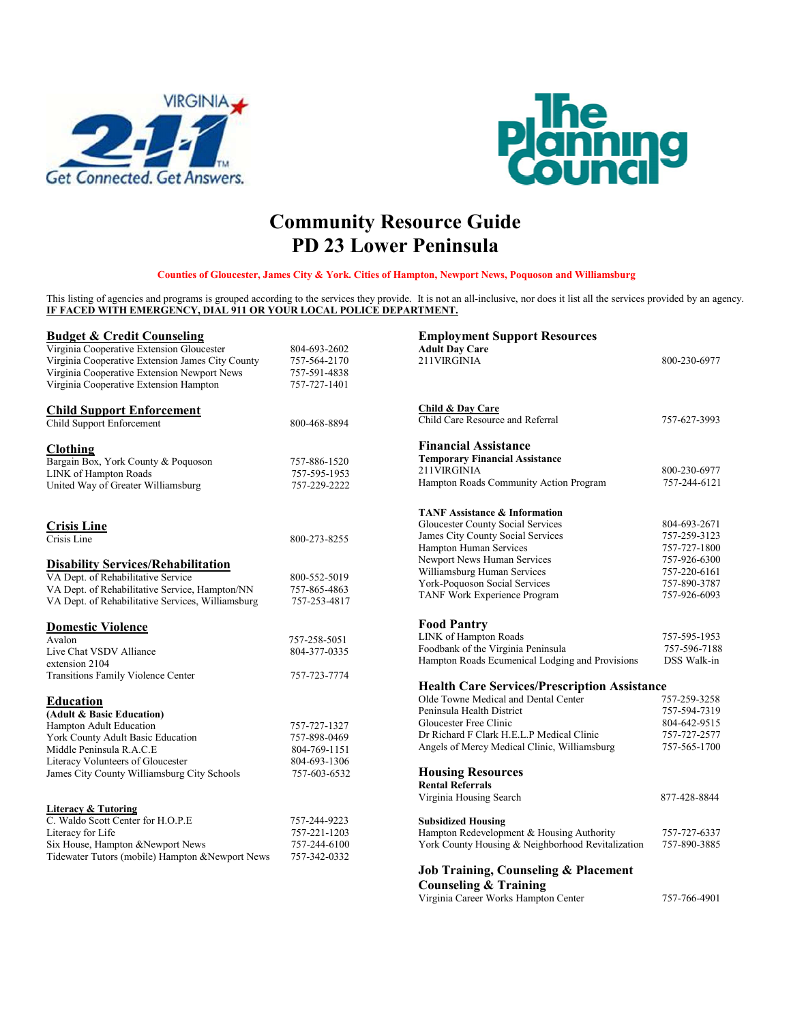



## **Community Resource Guide PD 23 Lower Peninsula**

**Counties of Gloucester, James City & York. Cities of Hampton, Newport News, Poquoson and Williamsburg**

This listing of agencies and programs is grouped according to the services they provide. It is not an all-inclusive, nor does it list all the services provided by an agency. **IF FACED WITH EMERGENCY, DIAL 911 OR YOUR LOCAL POLICE DEPARTMENT.**

| <b>Budget &amp; Credit Counseling</b>             |              | <b>Employment Support Resources</b>                 |              |
|---------------------------------------------------|--------------|-----------------------------------------------------|--------------|
| Virginia Cooperative Extension Gloucester         | 804-693-2602 | <b>Adult Day Care</b>                               |              |
| Virginia Cooperative Extension James City County  | 757-564-2170 | 211VIRGINIA                                         | 800-230-6977 |
| Virginia Cooperative Extension Newport News       | 757-591-4838 |                                                     |              |
| Virginia Cooperative Extension Hampton            | 757-727-1401 |                                                     |              |
| <b>Child Support Enforcement</b>                  |              | Child & Day Care                                    |              |
| Child Support Enforcement                         | 800-468-8894 | Child Care Resource and Referral                    | 757-627-3993 |
| <b>Clothing</b>                                   |              | <b>Financial Assistance</b>                         |              |
| Bargain Box, York County & Poquoson               | 757-886-1520 | <b>Temporary Financial Assistance</b>               |              |
| LINK of Hampton Roads                             | 757-595-1953 | 211VIRGINIA                                         | 800-230-6977 |
| United Way of Greater Williamsburg                | 757-229-2222 | Hampton Roads Community Action Program              | 757-244-6121 |
|                                                   |              | <b>TANF Assistance &amp; Information</b>            |              |
| <b>Crisis Line</b>                                |              | Gloucester County Social Services                   | 804-693-2671 |
| Crisis Line                                       | 800-273-8255 | James City County Social Services                   | 757-259-3123 |
|                                                   |              | Hampton Human Services                              | 757-727-1800 |
| <b>Disability Services/Rehabilitation</b>         |              | Newport News Human Services                         | 757-926-6300 |
| VA Dept. of Rehabilitative Service                | 800-552-5019 | Williamsburg Human Services                         | 757-220-6161 |
| VA Dept. of Rehabilitative Service, Hampton/NN    | 757-865-4863 | York-Poquoson Social Services                       | 757-890-3787 |
| VA Dept. of Rehabilitative Services, Williamsburg | 757-253-4817 | TANF Work Experience Program                        | 757-926-6093 |
| <b>Domestic Violence</b>                          |              | <b>Food Pantry</b>                                  |              |
| Avalon                                            | 757-258-5051 | LINK of Hampton Roads                               | 757-595-1953 |
| Live Chat VSDV Alliance                           | 804-377-0335 | Foodbank of the Virginia Peninsula                  | 757-596-7188 |
| extension 2104                                    |              | Hampton Roads Ecumenical Lodging and Provisions     | DSS Walk-in  |
| <b>Transitions Family Violence Center</b>         | 757-723-7774 |                                                     |              |
|                                                   |              | <b>Health Care Services/Prescription Assistance</b> |              |
| <b>Education</b>                                  |              | Olde Towne Medical and Dental Center                | 757-259-3258 |
| (Adult & Basic Education)                         |              | Peninsula Health District                           | 757-594-7319 |
| Hampton Adult Education                           | 757-727-1327 | Gloucester Free Clinic                              | 804-642-9515 |
| York County Adult Basic Education                 | 757-898-0469 | Dr Richard F Clark H.E.L.P Medical Clinic           | 757-727-2577 |
| Middle Peninsula R.A.C.E                          | 804-769-1151 | Angels of Mercy Medical Clinic, Williamsburg        | 757-565-1700 |
| Literacy Volunteers of Gloucester                 | 804-693-1306 |                                                     |              |
| James City County Williamsburg City Schools       | 757-603-6532 | <b>Housing Resources</b>                            |              |
|                                                   |              | <b>Rental Referrals</b>                             |              |
|                                                   |              | Virginia Housing Search                             | 877-428-8844 |
| <b>Literacy &amp; Tutoring</b>                    |              |                                                     |              |
| C. Waldo Scott Center for H.O.P.E                 | 757-244-9223 | <b>Subsidized Housing</b>                           |              |
| Literacy for Life                                 | 757-221-1203 | Hampton Redevelopment & Housing Authority           | 757-727-6337 |
| Six House, Hampton &Newport News                  | 757-244-6100 | York County Housing & Neighborhood Revitalization   | 757-890-3885 |
| Tidewater Tutors (mobile) Hampton & Newport News  | 757-342-0332 |                                                     |              |
|                                                   |              | Job Training, Counseling & Placement                |              |
|                                                   |              | <b>Counseling &amp; Training</b>                    |              |
|                                                   |              |                                                     |              |

Virginia Career Works Hampton Center 757-766-4901